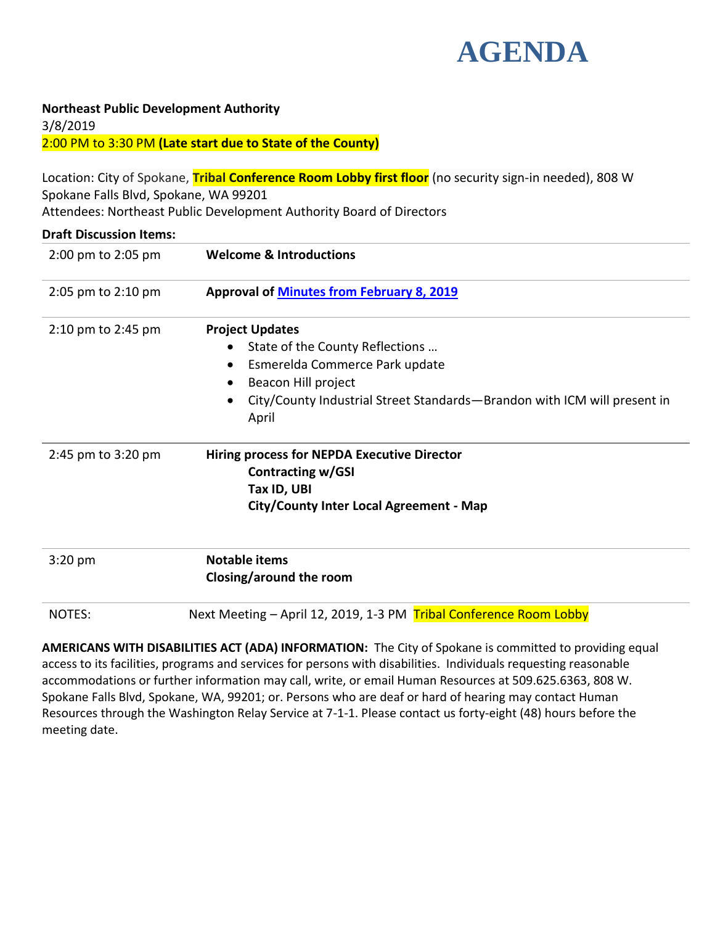

## **Northeast Public Development Authority**

3/8/2019 2:00 PM to 3:30 PM **(Late start due to State of the County)**

Location: City of Spokane, **Tribal Conference Room Lobby first floor** (no security sign-in needed), 808 W Spokane Falls Blvd, Spokane, WA 99201

Attendees: Northeast Public Development Authority Board of Directors **Draft Discussion Items:** 2:00 pm to 2:05 pm **Welcome & Introductions** 2:05 pm to 2:10 pm **Approval of [Minutes from February 8, 2019](#page-1-0)** 2:10 pm to 2:45 pm **Project Updates** • State of the County Reflections ... Esmerelda Commerce Park update • Beacon Hill project City/County Industrial Street Standards—Brandon with ICM will present in April 2:45 pm to 3:20 pm **Hiring process for NEPDA Executive Director Contracting w/GSI Tax ID, UBI City/County Inter Local Agreement - Map** 3:20 pm **Notable items Closing/around the room**

NOTES: Next Meeting – April 12, 2019, 1-3 PM Tribal Conference Room Lobby

**AMERICANS WITH DISABILITIES ACT (ADA) INFORMATION:** The City of Spokane is committed to providing equal access to its facilities, programs and services for persons with disabilities. Individuals requesting reasonable accommodations or further information may call, write, or email Human Resources at 509.625.6363, 808 W. Spokane Falls Blvd, Spokane, WA, 99201; or. Persons who are deaf or hard of hearing may contact Human Resources through the Washington Relay Service at 7-1-1. Please contact us forty-eight (48) hours before the meeting date.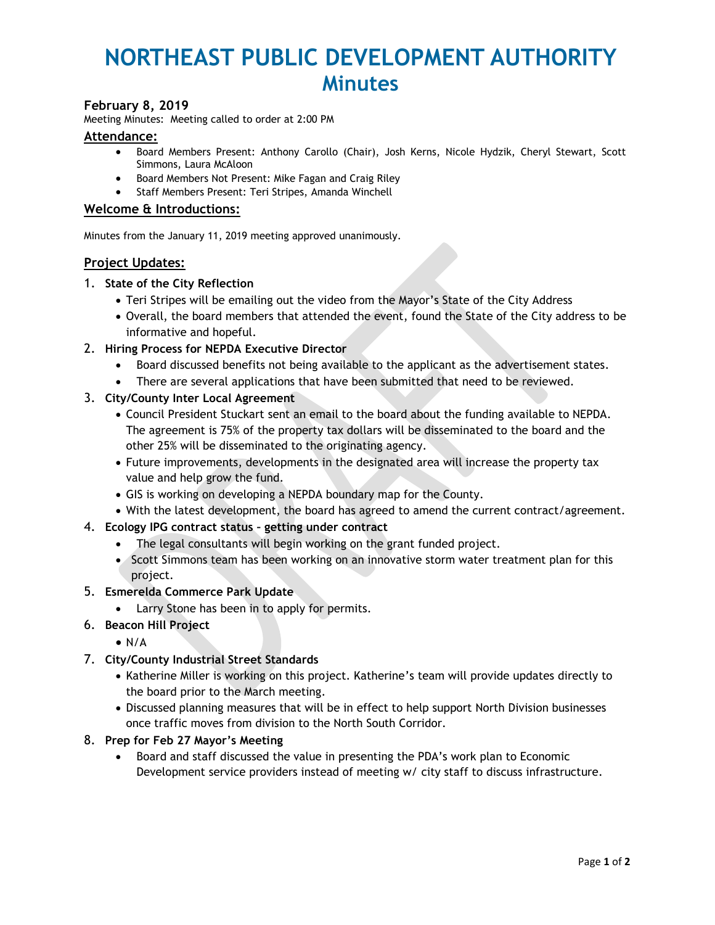# <span id="page-1-0"></span>**NORTHEAST PUBLIC DEVELOPMENT AUTHORITY Minutes**

#### **February 8, 2019**

Meeting Minutes: Meeting called to order at 2:00 PM

#### **Attendance:**

- Board Members Present: Anthony Carollo (Chair), Josh Kerns, Nicole Hydzik, Cheryl Stewart, Scott Simmons, Laura McAloon
- **•** Board Members Not Present: Mike Fagan and Craig Riley
- Staff Members Present: Teri Stripes, Amanda Winchell

#### **Welcome & Introductions:**

Minutes from the January 11, 2019 meeting approved unanimously.

#### **Project Updates:**

#### 1. **State of the City Reflection**

- Teri Stripes will be emailing out the video from the Mayor's State of the City Address
- Overall, the board members that attended the event, found the State of the City address to be informative and hopeful.

#### 2. **Hiring Process for NEPDA Executive Director**

- Board discussed benefits not being available to the applicant as the advertisement states.
- There are several applications that have been submitted that need to be reviewed.
- 3. **City/County Inter Local Agreement**
	- Council President Stuckart sent an email to the board about the funding available to NEPDA. The agreement is 75% of the property tax dollars will be disseminated to the board and the other 25% will be disseminated to the originating agency.
	- Future improvements, developments in the designated area will increase the property tax value and help grow the fund.
	- GIS is working on developing a NEPDA boundary map for the County.
	- With the latest development, the board has agreed to amend the current contract/agreement.
- 4. **Ecology IPG contract status – getting under contract**
	- The legal consultants will begin working on the grant funded project.
	- Scott Simmons team has been working on an innovative storm water treatment plan for this project.
- 5. **Esmerelda Commerce Park Update**
	- Larry Stone has been in to apply for permits.
- 6. **Beacon Hill Project**
	- $\bullet$  N/A
- 7. **City/County Industrial Street Standards**
	- Katherine Miller is working on this project. Katherine's team will provide updates directly to the board prior to the March meeting.
	- Discussed planning measures that will be in effect to help support North Division businesses once traffic moves from division to the North South Corridor.
- 8. **Prep for Feb 27 Mayor's Meeting**
	- Board and staff discussed the value in presenting the PDA's work plan to Economic Development service providers instead of meeting w/ city staff to discuss infrastructure.